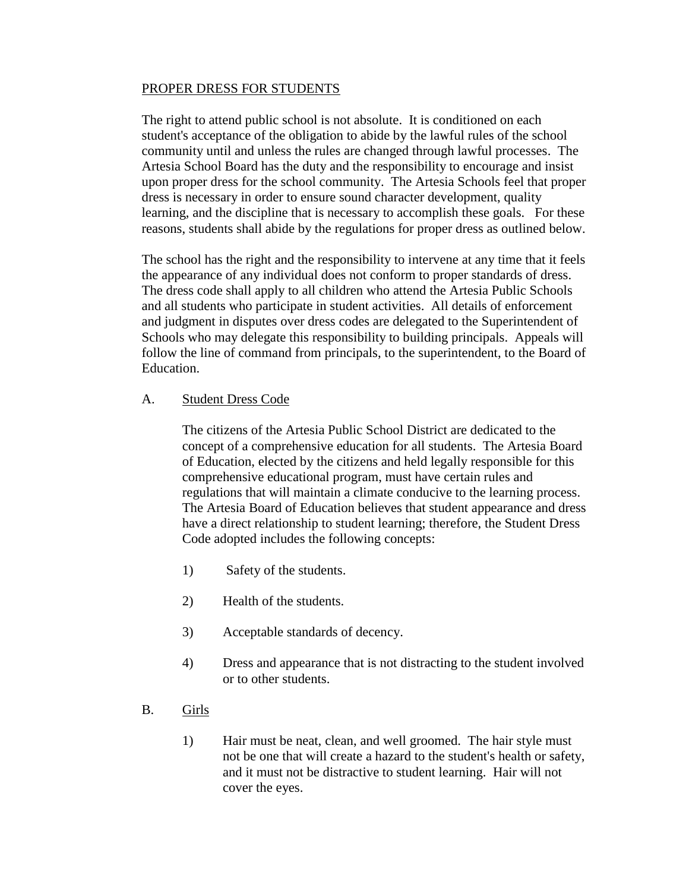## PROPER DRESS FOR STUDENTS

The right to attend public school is not absolute. It is conditioned on each student's acceptance of the obligation to abide by the lawful rules of the school community until and unless the rules are changed through lawful processes. The Artesia School Board has the duty and the responsibility to encourage and insist upon proper dress for the school community. The Artesia Schools feel that proper dress is necessary in order to ensure sound character development, quality learning, and the discipline that is necessary to accomplish these goals. For these reasons, students shall abide by the regulations for proper dress as outlined below.

The school has the right and the responsibility to intervene at any time that it feels the appearance of any individual does not conform to proper standards of dress. The dress code shall apply to all children who attend the Artesia Public Schools and all students who participate in student activities. All details of enforcement and judgment in disputes over dress codes are delegated to the Superintendent of Schools who may delegate this responsibility to building principals. Appeals will follow the line of command from principals, to the superintendent, to the Board of Education.

## A. Student Dress Code

The citizens of the Artesia Public School District are dedicated to the concept of a comprehensive education for all students. The Artesia Board of Education, elected by the citizens and held legally responsible for this comprehensive educational program, must have certain rules and regulations that will maintain a climate conducive to the learning process. The Artesia Board of Education believes that student appearance and dress have a direct relationship to student learning; therefore, the Student Dress Code adopted includes the following concepts:

- 1) Safety of the students.
- 2) Health of the students.
- 3) Acceptable standards of decency.
- 4) Dress and appearance that is not distracting to the student involved or to other students.
- B. Girls
	- 1) Hair must be neat, clean, and well groomed. The hair style must not be one that will create a hazard to the student's health or safety, and it must not be distractive to student learning. Hair will not cover the eyes.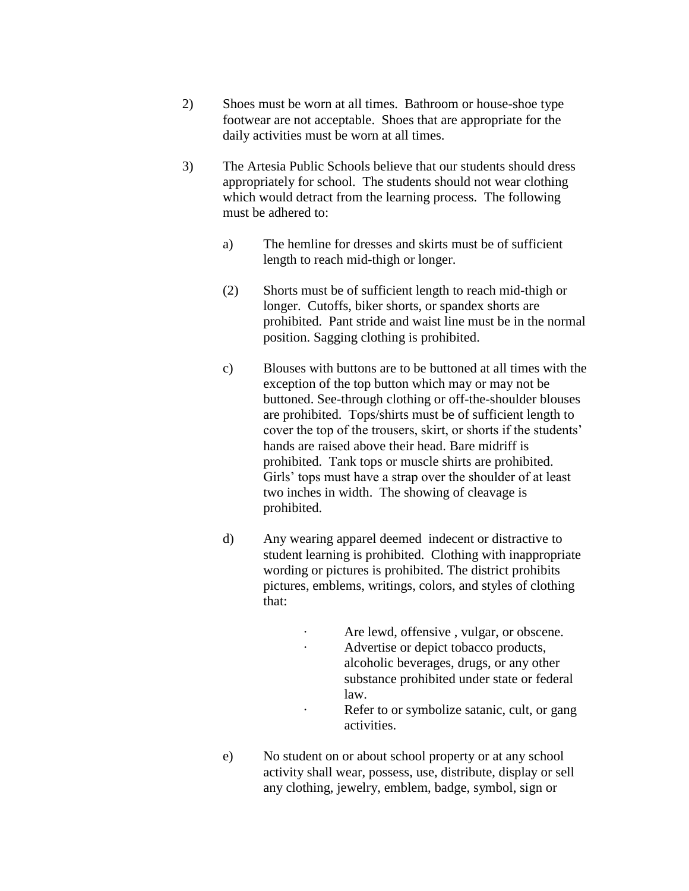- 2) Shoes must be worn at all times. Bathroom or house-shoe type footwear are not acceptable. Shoes that are appropriate for the daily activities must be worn at all times.
- 3) The Artesia Public Schools believe that our students should dress appropriately for school. The students should not wear clothing which would detract from the learning process. The following must be adhered to:
	- a) The hemline for dresses and skirts must be of sufficient length to reach mid-thigh or longer.
	- (2) Shorts must be of sufficient length to reach mid-thigh or longer. Cutoffs, biker shorts, or spandex shorts are prohibited. Pant stride and waist line must be in the normal position. Sagging clothing is prohibited.
	- c) Blouses with buttons are to be buttoned at all times with the exception of the top button which may or may not be buttoned. See-through clothing or off-the-shoulder blouses are prohibited. Tops/shirts must be of sufficient length to cover the top of the trousers, skirt, or shorts if the students' hands are raised above their head. Bare midriff is prohibited. Tank tops or muscle shirts are prohibited. Girls' tops must have a strap over the shoulder of at least two inches in width. The showing of cleavage is prohibited.
	- d) Any wearing apparel deemed indecent or distractive to student learning is prohibited. Clothing with inappropriate wording or pictures is prohibited. The district prohibits pictures, emblems, writings, colors, and styles of clothing that:
		- · Are lewd, offensive , vulgar, or obscene. · Advertise or depict tobacco products, alcoholic beverages, drugs, or any other substance prohibited under state or federal law.
		- · Refer to or symbolize satanic, cult, or gang activities.
	- e) No student on or about school property or at any school activity shall wear, possess, use, distribute, display or sell any clothing, jewelry, emblem, badge, symbol, sign or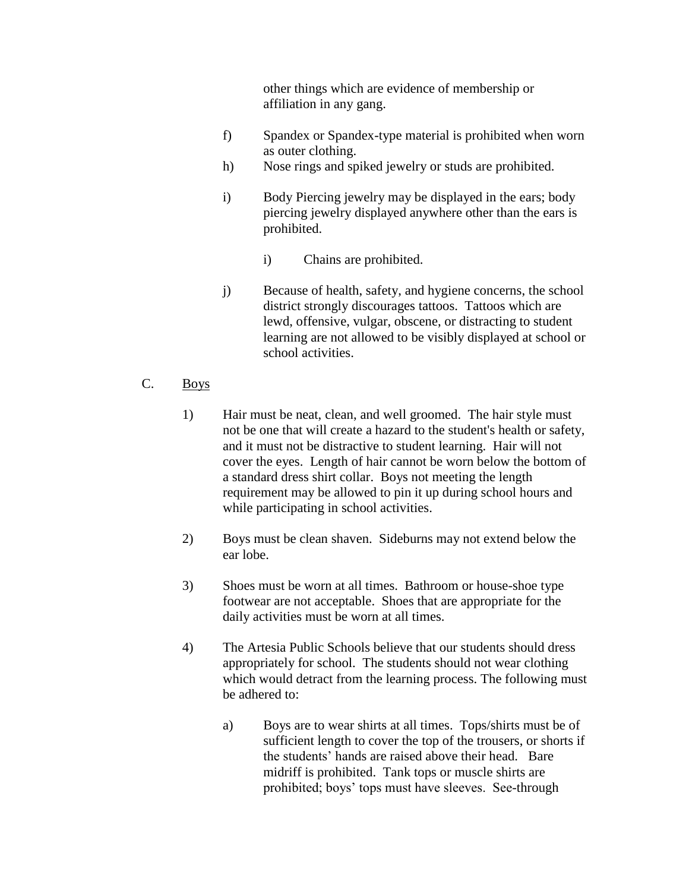other things which are evidence of membership or affiliation in any gang.

- f) Spandex or Spandex-type material is prohibited when worn as outer clothing.
- h) Nose rings and spiked jewelry or studs are prohibited.
- i) Body Piercing jewelry may be displayed in the ears; body piercing jewelry displayed anywhere other than the ears is prohibited.
	- i) Chains are prohibited.
- j) Because of health, safety, and hygiene concerns, the school district strongly discourages tattoos. Tattoos which are lewd, offensive, vulgar, obscene, or distracting to student learning are not allowed to be visibly displayed at school or school activities.
- C. Boys
	- 1) Hair must be neat, clean, and well groomed. The hair style must not be one that will create a hazard to the student's health or safety, and it must not be distractive to student learning. Hair will not cover the eyes. Length of hair cannot be worn below the bottom of a standard dress shirt collar. Boys not meeting the length requirement may be allowed to pin it up during school hours and while participating in school activities.
	- 2) Boys must be clean shaven. Sideburns may not extend below the ear lobe.
	- 3) Shoes must be worn at all times. Bathroom or house-shoe type footwear are not acceptable. Shoes that are appropriate for the daily activities must be worn at all times.
	- 4) The Artesia Public Schools believe that our students should dress appropriately for school. The students should not wear clothing which would detract from the learning process. The following must be adhered to:
		- a) Boys are to wear shirts at all times. Tops/shirts must be of sufficient length to cover the top of the trousers, or shorts if the students' hands are raised above their head. Bare midriff is prohibited. Tank tops or muscle shirts are prohibited; boys' tops must have sleeves. See-through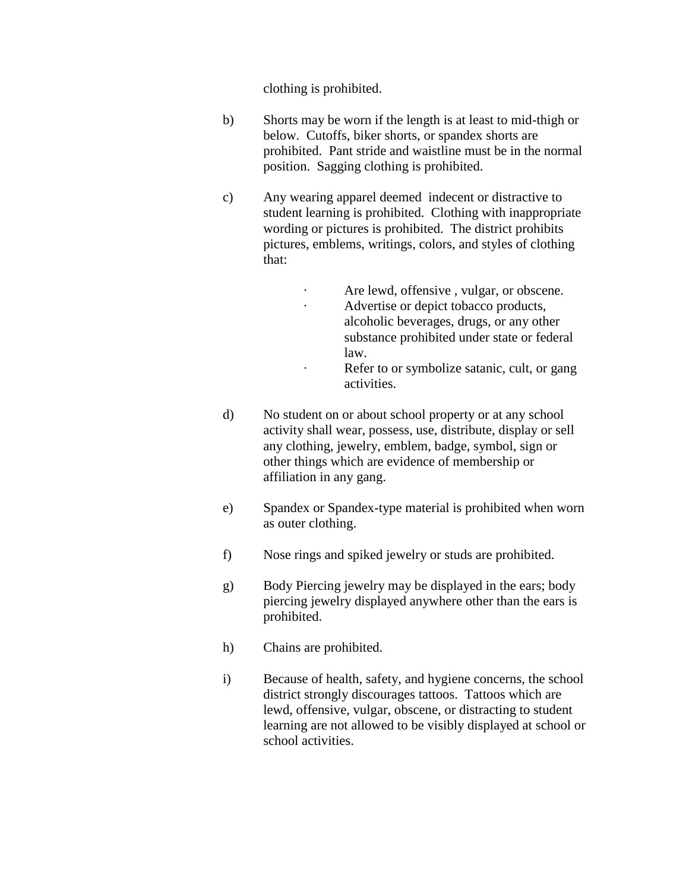clothing is prohibited.

- b) Shorts may be worn if the length is at least to mid-thigh or below. Cutoffs, biker shorts, or spandex shorts are prohibited. Pant stride and waistline must be in the normal position. Sagging clothing is prohibited.
- c) Any wearing apparel deemed indecent or distractive to student learning is prohibited. Clothing with inappropriate wording or pictures is prohibited. The district prohibits pictures, emblems, writings, colors, and styles of clothing that:
	- Are lewd, offensive, vulgar, or obscene.
	- · Advertise or depict tobacco products, alcoholic beverages, drugs, or any other substance prohibited under state or federal law.
	- · Refer to or symbolize satanic, cult, or gang activities.
- d) No student on or about school property or at any school activity shall wear, possess, use, distribute, display or sell any clothing, jewelry, emblem, badge, symbol, sign or other things which are evidence of membership or affiliation in any gang.
- e) Spandex or Spandex-type material is prohibited when worn as outer clothing.
- f) Nose rings and spiked jewelry or studs are prohibited.
- g) Body Piercing jewelry may be displayed in the ears; body piercing jewelry displayed anywhere other than the ears is prohibited.
- h) Chains are prohibited.
- i) Because of health, safety, and hygiene concerns, the school district strongly discourages tattoos. Tattoos which are lewd, offensive, vulgar, obscene, or distracting to student learning are not allowed to be visibly displayed at school or school activities.